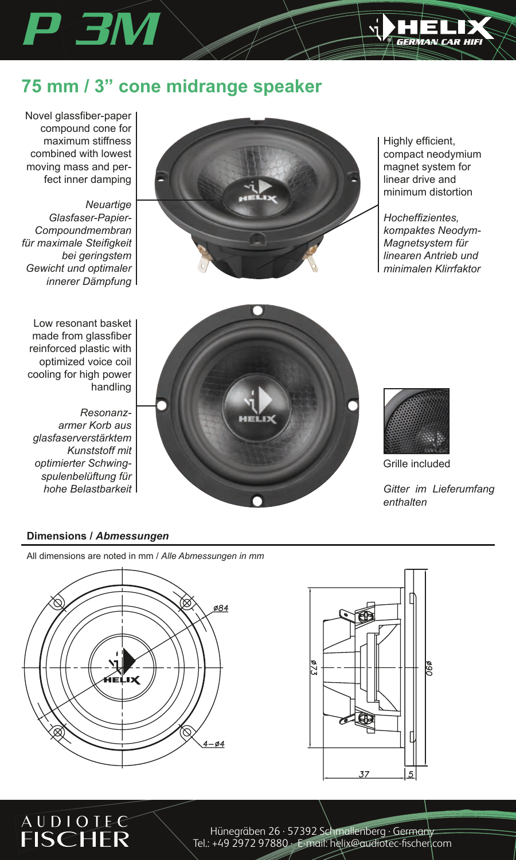

## **75 mm / 3" cone midrange speaker**

Novel glassfiber-paper compound cone for maximum stiffness combined with lowest moving mass and perfect inner damping

*P 3M*

*Neuartige Glasfaser-Papier--Compoundmembran für maximale Steifigkeit bei geringstem Gewicht und optimaler innerer Dämpfung*

Low resonant basket made from glassfiber reinforced plastic with optimized voice coil cooling for high power handling

*Resonanzarmer Korb aus glasfaserverstärktem Kunststoff mit optimierter Schwingspulenbelüftung für hohe Belastbarkeit*

Highly efficient, compact neodymium magnet system for linear drive and minimum distortion

*Hocheffizientes, kompaktes Neodym- Magnetsystem für linearen Antrieb und minimalen Klirrfaktor*





Grille included

*Gitter im Lieferumfang enthalten*

### **Dimensions /** *Abmessungen*

**AUDIOLEC FISCHER** 

All dimensions are noted in mm / *Alle Abmessungen in mm* 





Hünegräben 26 · 57392 Schmallenberg · Germany Tel.: +49 2972 97880 · E-mail: helix@audiotec-fischer.com